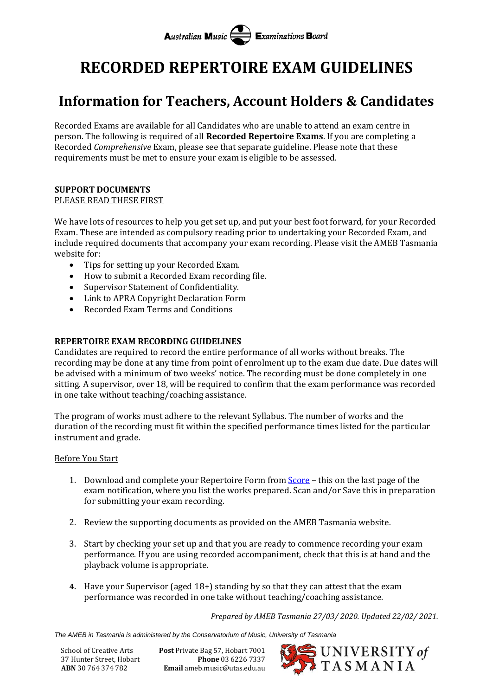# **Australian Music Examinations Board**

# **RECORDED REPERTOIRE EXAM GUIDELINES**

## **Information for Teachers, Account Holders & Candidates**

Recorded Exams are available for all Candidates who are unable to attend an exam centre in person. The following is required of all **Recorded Repertoire Exams**. If you are completing a Recorded *Comprehensive* Exam, please see that separate guideline. Please note that these requirements must be met to ensure your exam is eligible to be assessed.

#### **SUPPORT DOCUMENTS** PLEASE READ THESE FIRST

We have lots of resources to help you get set up, and put your best foot forward, for your Recorded Exam. These are intended as compulsory reading prior to undertaking your Recorded Exam, and include required documents that accompany your exam recording. Please visit the AMEB Tasmania website for:

- Tips for setting up your Recorded Exam.
- How to submit a Recorded Exam recording file.
- Supervisor Statement of Confidentiality.
- Link to APRA Copyright Declaration Form
- Recorded Exam Terms and Conditions

### **REPERTOIRE EXAM RECORDING GUIDELINES**

Candidates are required to record the entire performance of all works without breaks. The recording may be done at any time from point of enrolment up to the exam due date. Due dates will be advised with a minimum of two weeks' notice. The recording must be done completely in one sitting. A supervisor, over 18, will be required to confirm that the exam performance was recorded in one take without teaching/coaching assistance.

The program of works must adhere to the relevant Syllabus. The number of works and the duration of the recording must fit within the specified performance times listed for the particular instrument and grade.

#### Before You Start

- 1. Download and complete your Repertoire Form from [Score](https://tas.ameb.edu.au/) this on the last page of the exam notification, where you list the works prepared. Scan and/or Save this in preparation for submitting your exam recording.
- 2. Review the supporting documents as provided on the AMEB Tasmania website.
- 3. Start by checking your set up and that you are ready to commence recording your exam performance. If you are using recorded accompaniment, check that this is at hand and the playback volume is appropriate.
- **4.** Have your Supervisor (aged 18+) standing by so that they can attest that the exam performance was recorded in one take without teaching/coaching assistance.

*Prepared by AMEB Tasmania 27/03/ 2020. Updated 22/02/ 2021.*

*The AMEB in Tasmania is administered by the Conservatorium of Music, University of Tasmania*

School of Creative Arts **Post** Private Bag 57, Hobart 7001 37 Hunter Street, Hobart **Phone** 03 6226 7337 **ABN** 30 764 374 782 **Email** ameb.music@utas.edu.au

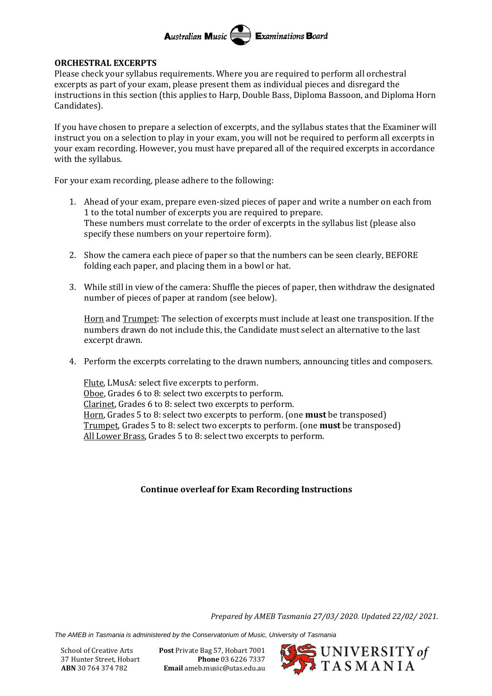#### Australian Music **Examinations Board**

#### **ORCHESTRAL EXCERPTS**

Please check your syllabus requirements. Where you are required to perform all orchestral excerpts as part of your exam, please present them as individual pieces and disregard the instructions in this section (this applies to Harp, Double Bass, Diploma Bassoon, and Diploma Horn Candidates).

If you have chosen to prepare a selection of excerpts, and the syllabus states that the Examiner will instruct you on a selection to play in your exam, you will not be required to perform all excerpts in your exam recording. However, you must have prepared all of the required excerpts in accordance with the syllabus.

For your exam recording, please adhere to the following:

- 1. Ahead of your exam, prepare even-sized pieces of paper and write a number on each from 1 to the total number of excerpts you are required to prepare. These numbers must correlate to the order of excerpts in the syllabus list (please also specify these numbers on your repertoire form).
- 2. Show the camera each piece of paper so that the numbers can be seen clearly, BEFORE folding each paper, and placing them in a bowl or hat.
- 3. While still in view of the camera: Shuffle the pieces of paper, then withdraw the designated number of pieces of paper at random (see below).

Horn and Trumpet: The selection of excerpts must include at least one transposition. If the numbers drawn do not include this, the Candidate must select an alternative to the last excerpt drawn.

4. Perform the excerpts correlating to the drawn numbers, announcing titles and composers.

Flute, LMusA: select five excerpts to perform. Oboe, Grades 6 to 8: select two excerpts to perform. Clarinet, Grades 6 to 8: select two excerpts to perform. Horn, Grades 5 to 8: select two excerpts to perform. (one **must** be transposed) Trumpet, Grades 5 to 8: select two excerpts to perform. (one **must** be transposed) All Lower Brass, Grades 5 to 8: select two excerpts to perform.

### **Continue overleaf for Exam Recording Instructions**

*Prepared by AMEB Tasmania 27/03/ 2020. Updated 22/02/ 2021.*

*The AMEB in Tasmania is administered by the Conservatorium of Music, University of Tasmania*

School of Creative Arts **Post** Private Bag 57, Hobart 7001 37 Hunter Street, Hobart **Phone** 03 6226 7337 **ABN** 30 764 374 782 **Email** ameb.music@utas.edu.au